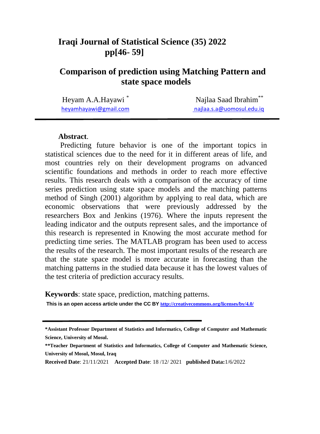# **Iraqi Journal of Statistical Science (35) 2022 pp[46- 59]**

# **Comparison of prediction using Matching Pattern and state space models**

Heyam A.A.Hayawi \*

 Najlaa Saad Ibrahim\*\* [heyamhayawi@gmail.com](mailto:heyamhayawi@gmail.com) [najlaa.s.a@uomosul.edu.iq](mailto:najlaa.s.a@uomosul.edu.iq)

#### **Abstract**.

Predicting future behavior is one of the important topics in statistical sciences due to the need for it in different areas of life, and most countries rely on their development programs on advanced scientific foundations and methods in order to reach more effective results. This research deals with a comparison of the accuracy of time series prediction using state space models and the matching patterns method of Singh (2001) algorithm by applying to real data, which are economic observations that were previously addressed by the researchers Box and Jenkins (1976). Where the inputs represent the leading indicator and the outputs represent sales, and the importance of this research is represented in Knowing the most accurate method for predicting time series. The MATLAB program has been used to access the results of the research. The most important results of the research are that the state space model is more accurate in forecasting than the matching patterns in the studied data because it has the lowest values of the test criteria of prediction accuracy results.

**Keywords**: state space, prediction, matching patterns.

**This is an open access article under the CC BYh[ttp://creativecommons.org/licenses/by/4.0/](http://creativecommons.org/licenses/by/4.0/)**

**<sup>\*</sup>Assistant Professor Department of Statistics and Informatics, College of Computer and Mathematic Science, University of Mosul.**

**<sup>\*\*</sup>Teacher Department of Statistics and Informatics, College of Computer and Mathematic Science, University of Mosul, Mosul, Iraq**

**Received Date**: 21/11/2021 **Accepted Date**: 18 /12/ 2021 **published Data:**1/6/2022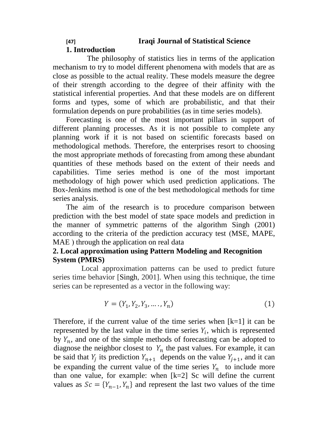## **[47] Iraqi Journal of Statistical Science**

## **1. Introduction**

 The philosophy of statistics lies in terms of the application mechanism to try to model different phenomena with models that are as close as possible to the actual reality. These models measure the degree of their strength according to the degree of their affinity with the statistical inferential properties. And that these models are on different forms and types, some of which are probabilistic, and that their formulation depends on pure probabilities (as in time series models).

Forecasting is one of the most important pillars in support of different planning processes. As it is not possible to complete any planning work if it is not based on scientific forecasts based on methodological methods. Therefore, the enterprises resort to choosing the most appropriate methods of forecasting from among these abundant quantities of these methods based on the extent of their needs and capabilities. Time series method is one of the most important methodology of high power which used prediction applications. The Box-Jenkins method is one of the best methodological methods for time series analysis.

The aim of the research is to procedure comparison between prediction with the best model of state space models and prediction in the manner of symmetric patterns of the algorithm Singh (2001) according to the criteria of the prediction accuracy test (MSE, MAPE, MAE) through the application on real data

## **2. Local approximation using Pattern Modeling and Recognition System (PMRS)**

 Local approximation patterns can be used to predict future series time behavior [Singh, 2001]. When using this technique, the time series can be represented as a vector in the following way:

$$
Y = (Y_1, Y_2, Y_3, \dots, Y_n)
$$
 (1)

Therefore, if the current value of the time series when  $[k=1]$  it can be represented by the last value in the time series  $Y_i$ , which is represented by  $Y_n$ , and one of the simple methods of forecasting can be adopted to diagnose the neighbor closest to  $Y_n$  the past values. For example, it can be said that  $Y_i$  its prediction  $Y_{n+1}$  depends on the value  $Y_{i+1}$ , and it can be expanding the current value of the time series  $Y_n$  to include more than one value, for example: when [k=2] Sc will define the current values as  $Sc = \{Y_{n-1}, Y_n\}$  and represent the last two values of the time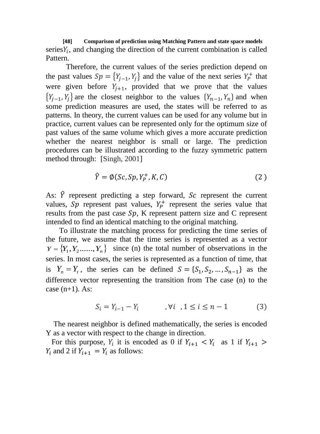**[48] Comparison of prediction using Matching Pattern and state space models** series $Y_i$ , and changing the direction of the current combination is called Pattern.

Therefore, the current values of the series prediction depend on the past values  $Sp = \{Y_{i-1}, Y_i\}$  and the value of the next series  $Y_P^+$  that were given before  $Y_{i+1}$ , provided that we prove that the values  ${Y_{i-1}, Y_i}$  are the closest neighbor to the values  ${Y_{n-1}, Y_n}$  and when some prediction measures are used, the states will be referred to as patterns. In theory, the current values can be used for any volume but in practice, current values can be represented only for the optimum size of past values of the same volume which gives a more accurate prediction whether the nearest neighbor is small or large. The prediction procedures can be illustrated according to the fuzzy symmetric pattern method through: [Singh, 2001]

$$
\hat{Y} = \emptyset (Sc, Sp, Y_P^+, K, C) \tag{2}
$$

As:  $\hat{Y}$  represent predicting a step forward, Sc represent the current values, Sp represent past values,  $Y_p^+$  represent the series value that results from the past case  $Sp$ , K represent pattern size and C represent intended to find an identical matching to the original matching.

 To illustrate the matching process for predicting the time series of the future, we assume that the time series is represented as a vector  $Y = \{Y_1, Y_2, \ldots, Y_n\}$  since (n) the total number of observations in the series. In most cases, the series is represented as a function of time, that is  $Y_n = Y_t$ , the series can be defined  $S = \{S_1, S_2, ..., S_{n-1}\}\$ as the difference vector representing the transition from The case (n) to the case  $(n+1)$ . As:

$$
S_i = Y_{i-1} - Y_i \qquad \qquad, \forall i \quad, 1 \le i \le n-1 \tag{3}
$$

 The nearest neighbor is defined mathematically, the series is encoded Y as a vector with respect to the change in direction.

For this purpose,  $Y_i$  it is encoded as 0 if  $Y_{i+1} < Y_i$  as 1 if  $Y_i$  and 2 if  $Y_{i+1} = Y_i$  as follows: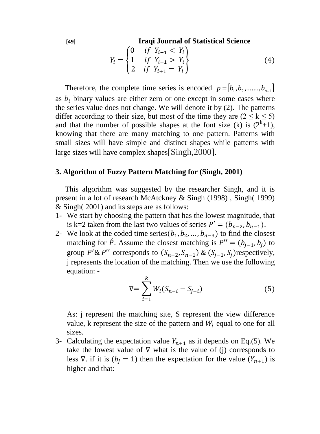**[49] Iraqi Journal of Statistical Science**

$$
Y_i = \begin{cases} 0 & if \ Y_{i+1} < Y_i \\ 1 & if \ Y_{i+1} > Y_i \\ 2 & if \ Y_{i+1} = Y_i \end{cases} \tag{4}
$$

Therefore, the complete time series is encoded  $p = [b_1, b_2, \dots, b_{n-1}]$ as  $b_i$  binary values are either zero or one except in some cases where the series value does not change. We will denote it by (2). The patterns differ according to their size, but most of the time they are  $(2 \le k \le 5)$ and that the number of possible shapes at the font size (k) is  $(2^k+1)$ , knowing that there are many matching to one pattern. Patterns with small sizes will have simple and distinct shapes while patterns with large sizes will have complex shapes[Singh,2000].

#### **3. Algorithm of Fuzzy Pattern Matching for (Singh, 2001)**

 This algorithm was suggested by the researcher Singh, and it is present in a lot of research McAtckney & Singh (1998) , Singh( 1999) & Singh( 2001) and its steps are as follows:

- 1- We start by choosing the pattern that has the lowest magnitude, that is k=2 taken from the last two values of series  $P' = (b_{n-2}, b_{n-1})$ .
- 2- We look at the coded time series( $b_1, b_2, ..., b_{n-3}$ ) to find the closest matching for  $\hat{P}$ . Assume the closest matching is  $P'' = (b_{i-1}, b_i)$  to group P'& P'' corresponds to  $(S_{n-2}, S_{n-1})$  &  $(S_{i-1}, S_i)$  respectively, j represents the location of the matching. Then we use the following equation: -

$$
\nabla = \sum_{i=1}^{k} W_i (S_{n-i} - S_{j-i})
$$
 (5)

As: j represent the matching site, S represent the view difference value, k represent the size of the pattern and  $W_i$  equal to one for all sizes.

3- Calculating the expectation value  $Y_{n+1}$  as it depends on Eq.(5). We take the lowest value of  $\nabla$  what is the value of (j) corresponds to less  $\nabla$ . if it is  $(b_j = 1)$  then the expectation for the value  $(Y_{n+1})$  is higher and that: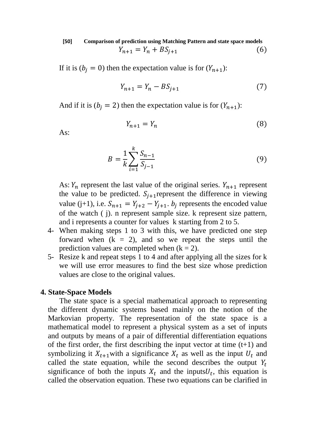**[50] Comparison of prediction using Matching Pattern and state space models**  $Y_{n+1} = Y_n + BS_{i+1}$  (6)

If it is  $(b_i = 0)$  then the expectation value is for  $(Y_{n+1})$ :

$$
Y_{n+1} = Y_n - BS_{i+1}
$$
 (7)

And if it is  $(b_i = 2)$  then the expectation value is for  $(Y_{n+1})$ :

$$
Y_{n+1} = Y_n \tag{8}
$$

As:

$$
B = \frac{1}{k} \sum_{i=1}^{k} \frac{S_{n-1}}{S_{j-1}}
$$
(9)

As:  $Y_n$  represent the last value of the original series.  $Y_{n+1}$  represent the value to be predicted.  $S_{i+1}$  represent the difference in viewing value (j+1), i.e.  $S_{n+1} = Y_{i+2} - Y_{i+1}$ .  $b_i$  represents the encoded value of the watch ( j). n represent sample size. k represent size pattern, and i represents a counter for values k starting from 2 to 5.

- 4- When making steps 1 to 3 with this, we have predicted one step forward when  $(k = 2)$ , and so we repeat the steps until the prediction values are completed when  $(k = 2)$ .
- 5- Resize k and repeat steps 1 to 4 and after applying all the sizes for k we will use error measures to find the best size whose prediction values are close to the original values.

#### **4. State-Space Models**

 The state space is a special mathematical approach to representing the different dynamic systems based mainly on the notion of the Markovian property. The representation of the state space is a mathematical model to represent a physical system as a set of inputs and outputs by means of a pair of differential differentiation equations of the first order, the first describing the input vector at time  $(t+1)$  and symbolizing it  $X_{t+1}$  with a significance  $X_t$  as well as the input  $U_t$  and called the state equation, while the second describes the output  $Y_t$ significance of both the inputs  $X_t$  and the inputs  $U_t$ , this equation is called the observation equation. These two equations can be clarified in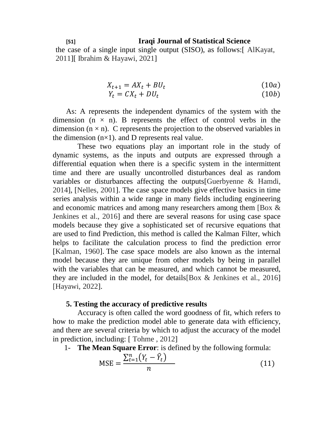#### **[51] Iraqi Journal of Statistical Science**

the case of a single input single output (SISO), as follows:[ AlKayat, 2011][ Ibrahim & Hayawi, 2021]

$$
X_{t+1} = AX_t + BU_t \tag{10a}
$$

$$
Y_t = CX_t + DU_t \tag{10b}
$$

As: A represents the independent dynamics of the system with the dimension  $(n \times n)$ . B represents the effect of control verbs in the dimension  $(n \times n)$ . C represents the projection to the observed variables in the dimension  $(n\times1)$ . and D represents real value.

 These two equations play an important role in the study of dynamic systems, as the inputs and outputs are expressed through a differential equation when there is a specific system in the intermittent time and there are usually uncontrolled disturbances deal as random variables or disturbances affecting the outputs[Guerbyenne & Hamdi, 2014], [Nelles, 2001]. The case space models give effective basics in time series analysis within a wide range in many fields including engineering and economic matrices and among many researchers among them [Box & Jenkines et al., 2016] and there are several reasons for using case space models because they give a sophisticated set of recursive equations that are used to find Prediction, this method is called the Kalman Filter, which helps to facilitate the calculation process to find the prediction error [Kalman, 1960]. The case space models are also known as the internal model because they are unique from other models by being in parallel with the variables that can be measured, and which cannot be measured, they are included in the model, for details[Box & Jenkines et al., 2016] [Hayawi, 2022].

#### **5. Testing the accuracy of predictive results**

 Accuracy is often called the word goodness of fit, which refers to how to make the prediction model able to generate data with efficiency, and there are several criteria by which to adjust the accuracy of the model in prediction, including: [ Tohme , 2012]

1- **The Mean Square Error**: is defined by the following formula:

$$
MSE = \frac{\sum_{t=1}^{n} (Y_t - \hat{Y}_t)}{n}
$$
 (11)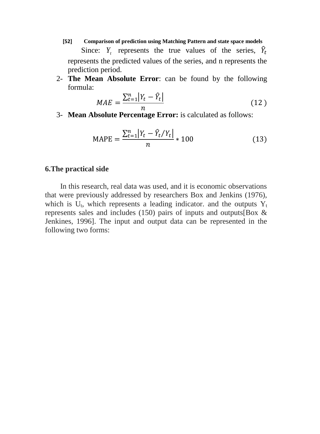- **[52] Comparison of prediction using Matching Pattern and state space models** Since:  $Y_t$  represents the true values of the series,  $\hat{Y}_t$ represents the predicted values of the series, and n represents the prediction period.
- 2- **The Mean Absolute Error**: can be found by the following formula:

$$
MAE = \frac{\sum_{t=1}^{n} |Y_t - \hat{Y}_t|}{n} \tag{12}
$$

3- **Mean Absolute Percentage Error:** is calculated as follows:

$$
MAPE = \frac{\sum_{t=1}^{n} |Y_t - \hat{Y}_t / Y_t|}{n} * 100
$$
 (13)

### **6.The practical side**

In this research, real data was used, and it is economic observations that were previously addressed by researchers Box and Jenkins (1976), which is  $U_t$ , which represents a leading indicator. and the outputs  $Y_t$ represents sales and includes (150) pairs of inputs and outputs[Box & Jenkines, 1996]. The input and output data can be represented in the following two forms: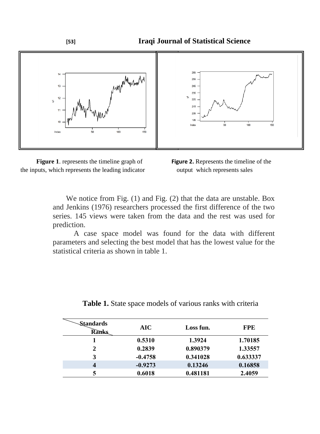





We notice from Fig. (1) and Fig. (2) that the data are unstable. Box and Jenkins (1976) researchers processed the first difference of the two series. 145 views were taken from the data and the rest was used for prediction.

 A case space model was found for the data with different parameters and selecting the best model that has the lowest value for the statistical criteria as shown in table 1.

| Standards<br><b>Ranks</b> | AIC       | Loss fun. | <b>FPE</b> |
|---------------------------|-----------|-----------|------------|
|                           | 0.5310    | 1.3924    | 1.70185    |
| 2                         | 0.2839    | 0.890379  | 1.33557    |
| 3                         | $-0.4758$ | 0.341028  | 0.633337   |
| 4                         | $-0.9273$ | 0.13246   | 0.16858    |
|                           | 0.6018    | 0.481181  | 2.4059     |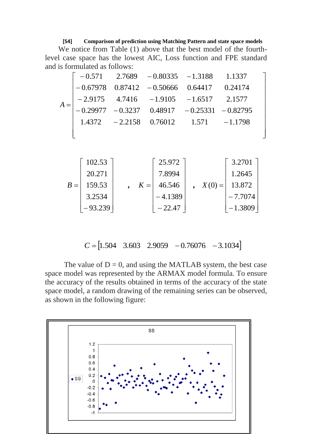#### **[54] Comparison of prediction using Matching Pattern and state space models**

We notice from Table (1) above that the best model of the fourthlevel case space has the lowest AIC, Loss function and FPE standard and is formulated as follows:

$$
A = \begin{bmatrix} -0.571 & 2.7689 & -0.80335 & -1.3188 & 1.1337 \\ -0.67978 & 0.87412 & -0.50666 & 0.64417 & 0.24174 \\ -2.9175 & 4.7416 & -1.9105 & -1.6517 & 2.1577 \\ -0.29977 & -0.3237 & 0.48917 & -0.25331 & -0.82795 \\ 1.4372 & -2.2158 & 0.76012 & 1.571 & -1.1798 \end{bmatrix}
$$

$$
B = \begin{bmatrix} 102.53 \\ 20.271 \\ 159.53 \\ 3.2534 \\ -93.239 \end{bmatrix} , R = \begin{bmatrix} 25.972 \\ 7.8994 \\ 46.546 \\ -4.1389 \\ -22.47 \end{bmatrix} , N(0) = \begin{bmatrix} 3.2701 \\ 1.2645 \\ 13.872 \\ -7.7074 \\ -1.3809 \end{bmatrix}
$$

$$
C = \begin{bmatrix} 1.504 & 3.603 & 2.9059 & -0.76076 & -3.1034 \end{bmatrix}
$$

The value of  $D = 0$ , and using the MATLAB system, the best case space model was represented by the ARMAX model formula. To ensure the accuracy of the results obtained in terms of the accuracy of the state space model, a random drawing of the remaining series can be observed, as shown in the following figure:

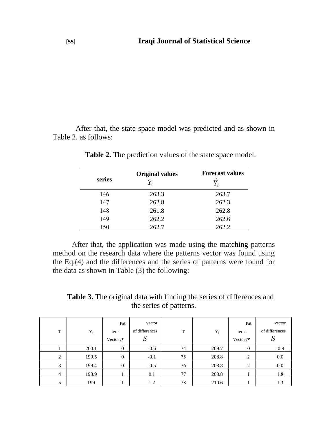After that, the state space model was predicted and as shown in Table 2. as follows:

| series | <b>Original values</b> | <b>Forecast values</b><br>$\lambda$ |
|--------|------------------------|-------------------------------------|
| 146    | 263.3                  | 263.7                               |
| 147    | 262.8                  | 262.3                               |
| 148    | 261.8                  | 262.8                               |
| 149    | 262.2                  | 262.6                               |
| 150    | 262.7                  | 262.2                               |

**Table 2.** The prediction values of the state space model.

 After that, the application was made using the matching patterns method on the research data where the patterns vector was found using the Eq.(4) and the differences and the series of patterns were found for the data as shown in Table (3) the following:

**Table 3.** The original data with finding the series of differences and the series of patterns.

| T | $Y_i$ | Pat<br>terns<br>Vector $P'$ | vector<br>of differences | T  | $Y_i$ | Pat<br>terns<br>Vector $P'$ | vector<br>of differences |
|---|-------|-----------------------------|--------------------------|----|-------|-----------------------------|--------------------------|
|   | 200.1 | $\mathbf{0}$                | $-0.6$                   | 74 | 209.7 | $\mathbf{0}$                | $-0.9$                   |
| 2 | 199.5 | $\mathbf{0}$                | $-0.1$                   | 75 | 208.8 | 2                           | 0.0                      |
| 3 | 199.4 | $\mathbf{0}$                | $-0.5$                   | 76 | 208.8 | C<br>∠                      | 0.0                      |
| 4 | 198.9 |                             | 0.1                      | 77 | 208.8 |                             | 1.8                      |
|   | 199   |                             | 1.2                      | 78 | 210.6 |                             | 1.3                      |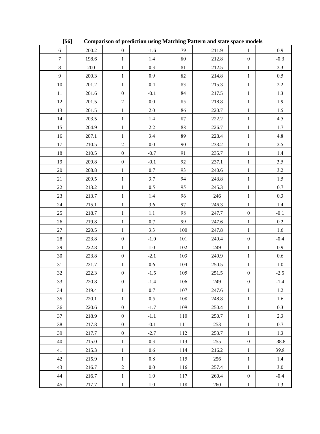|                  | $[56]$    |                  |               |          | <b>Comparison of prediction using Matching Pattern and state space models</b> |                  |         |
|------------------|-----------|------------------|---------------|----------|-------------------------------------------------------------------------------|------------------|---------|
| 6                | 200.2     | $\boldsymbol{0}$ | $-1.6$        | 79       | 211.9                                                                         | 1                | 0.9     |
| $\boldsymbol{7}$ | 198.6     | $\mathbf{1}$     | $1.4\,$       | $\bf 80$ | 212.8                                                                         | $\boldsymbol{0}$ | $-0.3$  |
| $\,8\,$          | 200       | $\,1$            | 0.3           | 81       | 212.5                                                                         | $\mathbf{1}$     | 2.3     |
| 9                | 200.3     | $\mathbf{1}$     | $0.9\,$       | 82       | 214.8                                                                         | $\mathbf{1}$     | 0.5     |
| $10\,$           | 201.2     | $\mathbf{1}$     | $0.4\,$       | 83       | 215.3                                                                         | $\mathbf{1}$     | 2.2     |
| 11               | 201.6     | $\boldsymbol{0}$ | $-0.1$        | 84       | 217.5                                                                         | $\,1$            | 1.3     |
| 12               | 201.5     | $\sqrt{2}$       | $0.0\,$       | 85       | 218.8                                                                         | $\mathbf{1}$     | 1.9     |
| 13               | 201.5     | $\mathbf{1}$     | $2.0$         | 86       | 220.7                                                                         | $\,1$            | $1.5$   |
| 14               | 203.5     | $\mathbf{1}$     | 1.4           | 87       | 222.2                                                                         | $\mathbf{1}$     | 4.5     |
| 15               | 204.9     | $\,1$            | 2.2           | $\bf 88$ | 226.7                                                                         | $\,1$            | 1.7     |
| 16               | 207.1     | $\mathbf{1}$     | $3.4\,$       | 89       | 228.4                                                                         | $\mathbf{1}$     | $4.8\,$ |
| 17               | 210.5     | $\sqrt{2}$       | $0.0\,$       | 90       | 233.2                                                                         | $\mathbf{1}$     | 2.5     |
| 18               | 210.5     | $\boldsymbol{0}$ | $-0.7$        | 91       | 235.7                                                                         | $\mathbf{1}$     | 1.4     |
| 19               | 209.8     | $\boldsymbol{0}$ | $-0.1$        | 92       | 237.1                                                                         | $\,1$            | 3.5     |
| 20               | $208.8\,$ | $\mathbf{1}$     | $0.7\,$       | 93       | 240.6                                                                         | $\mathbf{1}$     | 3.2     |
| 21               | 209.5     | $\mathbf{1}$     | 3.7           | 94       | 243.8                                                                         | $\,1$            | $1.5$   |
| 22               | 213.2     | $\mathbf{1}$     | $0.5\,$       | 95       | 245.3                                                                         | $\mathbf{1}$     | 0.7     |
| 23               | 213.7     | $\,1$            | 1.4           | 96       | 246                                                                           | $\,1$            | 0.3     |
| 24               | 215.1     | $\mathbf{1}$     | $3.6\,$       | 97       | 246.3                                                                         | $\mathbf{1}$     | 1.4     |
| 25               | 218.7     | $\mathbf{1}$     | 1.1           | 98       | 247.7                                                                         | $\boldsymbol{0}$ | $-0.1$  |
| $26\,$           | 219.8     | $\mathbf{1}$     | $0.7\,$       | 99       | 247.6                                                                         | $\mathbf{1}$     | $0.2\,$ |
| 27               | 220.5     | $\,1$            | 3.3           | 100      | 247.8                                                                         | $\,1$            | 1.6     |
| $28\,$           | 223.8     | $\boldsymbol{0}$ | $\mbox{-}1.0$ | 101      | 249.4                                                                         | $\boldsymbol{0}$ | $-0.4$  |
| 29               | 222.8     | $\mathbf{1}$     | 1.0           | $102\,$  | 249                                                                           | $\,1$            | 0.9     |
| $30\,$           | 223.8     | $\boldsymbol{0}$ | $-2.1$        | 103      | 249.9                                                                         | $\mathbf{1}$     | 0.6     |
| 31               | 221.7     | $\mathbf{1}$     | $0.6\,$       | 104      | 250.5                                                                         | $\mathbf{1}$     | 1.0     |
| 32               | 222.3     | $\boldsymbol{0}$ | $-1.5$        | 105      | 251.5                                                                         | $\boldsymbol{0}$ | $-2.5$  |
| 33               | 220.8     | $\boldsymbol{0}$ | $-1.4$        | 106      | 249                                                                           | $\boldsymbol{0}$ | $-1.4$  |
| 34               | 219.4     | $\mathbf{1}$     | $0.7\,$       | 107      | 247.6                                                                         | $\mathbf{1}$     | 1.2     |
| 35               | 220.1     | $\,1$            | $0.5\,$       | 108      | 248.8                                                                         | $\,1$            | 1.6     |
| 36               | 220.6     | $\boldsymbol{0}$ | $-1.7$        | 109      | 250.4                                                                         | $\mathbf{1}$     | 0.3     |
| 37               | 218.9     | $\boldsymbol{0}$ | $-1.1$        | 110      | 250.7                                                                         | $\mathbf{1}$     | 2.3     |
| 38               | 217.8     | $\boldsymbol{0}$ | $-0.1$        | 111      | 253                                                                           | $\mathbf{1}$     | $0.7\,$ |
| 39               | 217.7     | $\boldsymbol{0}$ | $-2.7$        | 112      | 253.7                                                                         | $\,1$            | 1.3     |
| 40               | 215.0     | $\mathbf{1}$     | 0.3           | 113      | 255                                                                           | $\boldsymbol{0}$ | $-38.8$ |
| 41               | 215.3     | $\mathbf{1}$     | 0.6           | 114      | 216.2                                                                         | $\mathbf{1}$     | 39.8    |
| $42\,$           | 215.9     | $\mathbf{1}$     | 0.8           | 115      | 256                                                                           | $\mathbf{1}$     | 1.4     |
| 43               | 216.7     | $\sqrt{2}$       | 0.0           | 116      | 257.4                                                                         | $\mathbf{1}$     | 3.0     |
| 44               | 216.7     | $\mathbf{1}$     | 1.0           | 117      | 260.4                                                                         | $\boldsymbol{0}$ | $-0.4$  |
| 45               | 217.7     | $\mathbf{1}$     | 1.0           | 118      | 260                                                                           | $\mathbf{1}$     | 1.3     |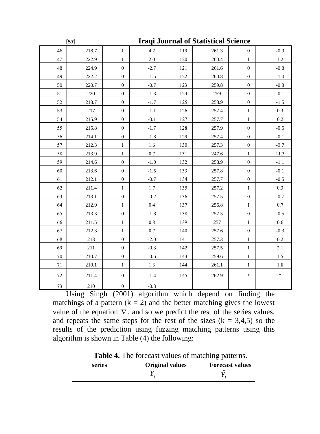|        | $[57]$ | <b>Iraqi Journal of Statistical Science</b> |         |     |       |                  |         |
|--------|--------|---------------------------------------------|---------|-----|-------|------------------|---------|
| 46     | 218.7  | $\mathbf{1}$                                | 4.2     | 119 | 261.3 | $\boldsymbol{0}$ | $-0.9$  |
| 47     | 222.9  | $\mathbf{1}$                                | 2.0     | 120 | 260.4 | $\mathbf{1}$     | 1.2     |
| $48\,$ | 224.9  | $\boldsymbol{0}$                            | $-2.7$  | 121 | 261.6 | $\boldsymbol{0}$ | $-0.8$  |
| 49     | 222.2  | $\boldsymbol{0}$                            | $-1.5$  | 122 | 260.8 | $\boldsymbol{0}$ | $-1.0$  |
| 50     | 220.7  | $\boldsymbol{0}$                            | $-0.7$  | 123 | 259.8 | $\boldsymbol{0}$ | $-0.8$  |
| 51     | 220    | $\boldsymbol{0}$                            | $-1.3$  | 124 | 259   | $\boldsymbol{0}$ | $-0.1$  |
| 52     | 218.7  | $\boldsymbol{0}$                            | $-1.7$  | 125 | 258.9 | $\boldsymbol{0}$ | $-1.5$  |
| 53     | 217    | $\boldsymbol{0}$                            | $-1.1$  | 126 | 257.4 | $\mathbf{1}$     | 0.3     |
| 54     | 215.9  | $\boldsymbol{0}$                            | $-0.1$  | 127 | 257.7 | $\mathbf{1}$     | $0.2\,$ |
| 55     | 215.8  | $\mathbf{0}$                                | $-1.7$  | 128 | 257.9 | $\boldsymbol{0}$ | $-0.5$  |
| 56     | 214.1  | $\boldsymbol{0}$                            | $-1.8$  | 129 | 257.4 | $\boldsymbol{0}$ | $-0.1$  |
| 57     | 212.3  | $\mathbf{1}$                                | $1.6\,$ | 130 | 257.3 | $\boldsymbol{0}$ | $-9.7$  |
| 58     | 213.9  | $\mathbf{1}$                                | 0.7     | 131 | 247.6 | $\mathbf{1}$     | 11.3    |
| 59     | 214.6  | $\boldsymbol{0}$                            | $-1.0$  | 132 | 258.9 | $\boldsymbol{0}$ | $-1.1$  |
| 60     | 213.6  | $\boldsymbol{0}$                            | $-1.5$  | 133 | 257.8 | $\boldsymbol{0}$ | $-0.1$  |
| 61     | 212.1  | $\boldsymbol{0}$                            | $-0.7$  | 134 | 257.7 | $\boldsymbol{0}$ | $-0.5$  |
| 62     | 211.4  | 1                                           | $1.7$   | 135 | 257.2 | $\mathbf{1}$     | $0.3\,$ |
| 63     | 213.1  | $\boldsymbol{0}$                            | $-0.2$  | 136 | 257.5 | $\boldsymbol{0}$ | $-0.7$  |
| 64     | 212.9  | $\mathbf{1}$                                | 0.4     | 137 | 256.8 | $\mathbf{1}$     | $0.7\,$ |
| 65     | 213.3  | $\boldsymbol{0}$                            | $-1.8$  | 138 | 257.5 | $\boldsymbol{0}$ | $-0.5$  |
| 66     | 211.5  | $\mathbf{1}$                                | $0.8\,$ | 139 | 257   | $\mathbf{1}$     | $0.6\,$ |
| 67     | 212.3  | $\mathbf{1}$                                | 0.7     | 140 | 257.6 | $\boldsymbol{0}$ | $-0.3$  |
| 68     | 213    | $\boldsymbol{0}$                            | $-2.0$  | 141 | 257.3 | $\,1$            | 0.2     |
| 69     | 211    | $\boldsymbol{0}$                            | $-0.3$  | 142 | 257.5 | $\mathbf{1}$     | 2.1     |
| $70\,$ | 210.7  | $\boldsymbol{0}$                            | $-0.6$  | 143 | 259.6 | $\mathbf{1}$     | $1.5\,$ |
| 71     | 210.1  | 1                                           | 1.3     | 144 | 261.1 | 1                | $1.8\,$ |
| $72\,$ | 211.4  | $\boldsymbol{0}$                            | $-1.4$  | 145 | 262.9 | $\ast$           | $\ast$  |
| 73     | 210    | $\boldsymbol{0}$                            | $-0.3$  |     |       |                  |         |

Using Singh  $(2001)$  algorithm which depend on finding the matchings of a pattern  $(k = 2)$  and the better matching gives the lowest value of the equation  $\nabla$ , and so we predict the rest of the series values, and repeats the same steps for the rest of the sizes  $(k = 3, 4, 5)$  so the results of the prediction using fuzzing matching patterns using this algorithm is shown in Table (4) the following:

**Table 4.** The forecast values of matching patterns.

|        |                         | --                     |
|--------|-------------------------|------------------------|
| series | <b>Original values</b>  | <b>Forecast values</b> |
|        | $\overline{\mathbf{r}}$ |                        |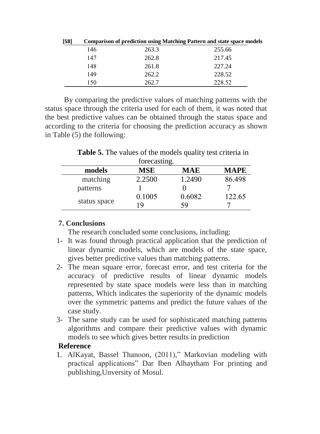| [58] | <b>Comparison of prediction using Matching Pattern and state space models</b> |       |        |  |  |
|------|-------------------------------------------------------------------------------|-------|--------|--|--|
|      | 146                                                                           | 263.3 | 255.66 |  |  |
|      | 147                                                                           | 262.8 | 217.45 |  |  |
|      | 148                                                                           | 261.8 | 227.24 |  |  |
|      | 149                                                                           | 262.2 | 228.52 |  |  |
|      | 150                                                                           | 262.7 | 228.52 |  |  |

 By comparing the predictive values of matching patterns with the status space through the criteria used for each of them, it was noted that the best predictive values can be obtained through the status space and according to the criteria for choosing the prediction accuracy as shown in Table (5) the following:

**Table 5.** The values of the models quality test criteria in forecasting

|              | TOTCCASHILE. |            |             |
|--------------|--------------|------------|-------------|
| models       | MSE          | <b>MAE</b> | <b>MAPE</b> |
| matching     | 2.2500       | 1.2490     | 86.498      |
| patterns     |              |            |             |
|              | 0.1005       | 0.6082     | 122.65      |
| status space | 19           | 59         |             |

## **7. Conclusions**

The research concluded some conclusions, including:

- 1- It was found through practical application that the prediction of linear dynamic models, which are models of the state space, gives better predictive values than matching patterns.
- 2- The mean square error, forecast error, and test criteria for the accuracy of predictive results of linear dynamic models represented by state space models were less than in matching patterns, Which indicates the superiority of the dynamic models over the symmetric patterns and predict the future values of the case study.
- 3- The same study can be used for sophisticated matching patterns algorithms and compare their predictive values with dynamic models to see which gives better results in prediction

## **Reference**

1. AlKayat, Bassel Thanoon, (2011)," Markovian modeling with practical applications" Dar Iben Alhaytham For printing and publishing,Unversity of Mosul.